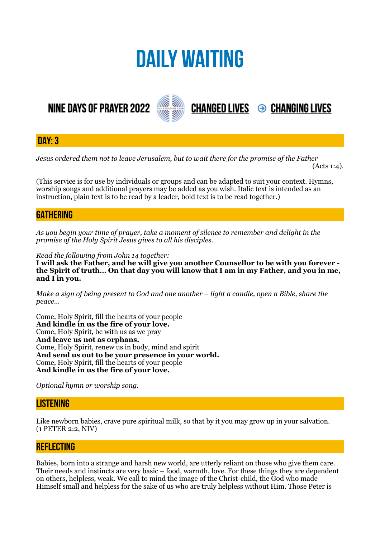# **DAILY WAITING**

# **NINE DAYS OF PRAYER 2022**



**DAY: 3**

*Jesus ordered them not to leave Jerusalem, but to wait there for the promise of the Father* 

 $(Acts 1:4)$ .

**CHANGED LIVES 
<sup>●</sup> CHANGING LIVES** 

(This service is for use by individuals or groups and can be adapted to suit your context. Hymns, worship songs and additional prayers may be added as you wish. Italic text is intended as an instruction, plain text is to be read by a leader, bold text is to be read together.)

## **GATHERING**

*As you begin your time of prayer, take a moment of silence to remember and delight in the promise of the Holy Spirit Jesus gives to all his disciples.*

*Read the following from John 14 together:* 

**I will ask the Father, and he will give you another Counsellor to be with you forever the Spirit of truth… On that day you will know that I am in my Father, and you in me, and I in you.** 

*Make a sign of being present to God and one another – light a candle, open a Bible, share the peace…* 

Come, Holy Spirit, fill the hearts of your people **And kindle in us the fire of your love.**  Come, Holy Spirit, be with us as we pray **And leave us not as orphans.**  Come, Holy Spirit, renew us in body, mind and spirit **And send us out to be your presence in your world.**  Come, Holy Spirit, fill the hearts of your people **And kindle in us the fire of your love.** 

*Optional hymn or worship song.* 

#### **LISTENING**

Like newborn babies, crave pure spiritual milk, so that by it you may grow up in your salvation. (1 PETER 2:2, NIV)

#### **REFLECTING**

Babies, born into a strange and harsh new world, are utterly reliant on those who give them care. Their needs and instincts are very basic – food, warmth, love. For these things they are dependent on others, helpless, weak. We call to mind the image of the Christ-child, the God who made Himself small and helpless for the sake of us who are truly helpless without Him. Those Peter is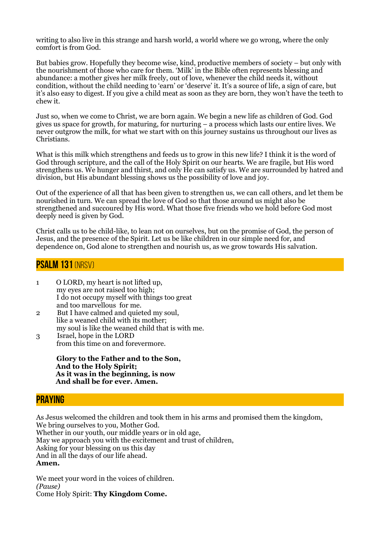writing to also live in this strange and harsh world, a world where we go wrong, where the only comfort is from God.

But babies grow. Hopefully they become wise, kind, productive members of society – but only with the nourishment of those who care for them. 'Milk' in the Bible often represents blessing and abundance: a mother gives her milk freely, out of love, whenever the child needs it, without condition, without the child needing to 'earn' or 'deserve' it. It's a source of life, a sign of care, but it's also easy to digest. If you give a child meat as soon as they are born, they won't have the teeth to chew it.

Just so, when we come to Christ, we are born again. We begin a new life as children of God. God gives us space for growth, for maturing, for nurturing – a process which lasts our entire lives. We never outgrow the milk, for what we start with on this journey sustains us throughout our lives as Christians.

What is this milk which strengthens and feeds us to grow in this new life? I think it is the word of God through scripture, and the call of the Holy Spirit on our hearts. We are fragile, but His word strengthens us. We hunger and thirst, and only He can satisfy us. We are surrounded by hatred and division, but His abundant blessing shows us the possibility of love and joy.

Out of the experience of all that has been given to strengthen us, we can call others, and let them be nourished in turn. We can spread the love of God so that those around us might also be strengthened and succoured by His word. What those five friends who we hold before God most deeply need is given by God.

Christ calls us to be child-like, to lean not on ourselves, but on the promise of God, the person of Jesus, and the presence of the Spirit. Let us be like children in our simple need for, and dependence on, God alone to strengthen and nourish us, as we grow towards His salvation.

### **Psalm 131** (NRSV)

- 1 O LORD, my heart is not lifted up, my eyes are not raised too high; I do not occupy myself with things too great and too marvellous for me.
- 2 But I have calmed and quieted my soul, like a weaned child with its mother; my soul is like the weaned child that is with me.
- 3 Israel, hope in the LORD from this time on and forevermore.

 **Glory to the Father and to the Son, And to the Holy Spirit; As it was in the beginning, is now And shall be for ever. Amen.**

#### **PRAYING**

As Jesus welcomed the children and took them in his arms and promised them the kingdom, We bring ourselves to you, Mother God. Whether in our youth, our middle years or in old age, May we approach you with the excitement and trust of children, Asking for your blessing on us this day And in all the days of our life ahead. **Amen.**

We meet your word in the voices of children. *(Pause)* Come Holy Spirit: **Thy Kingdom Come.**